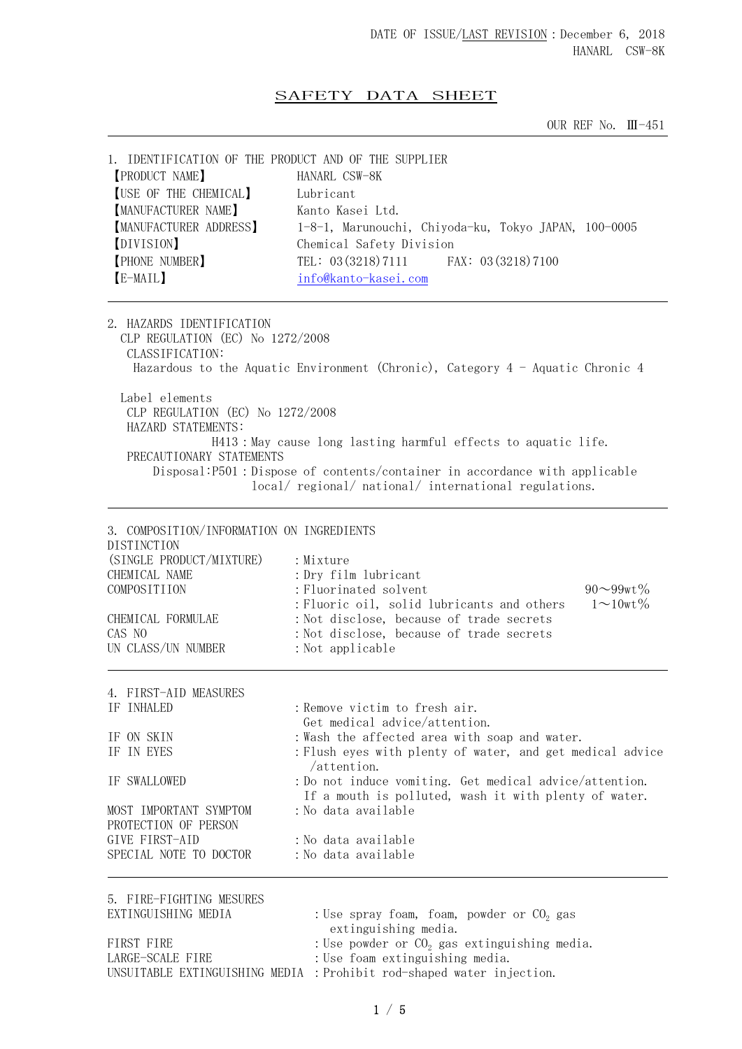## SAFETY DATA SHEET

OUR REF No. Ⅲ-451

| 1. IDENTIFICATION OF THE PRODUCT AND OF THE SUPPLIER |                                                      |
|------------------------------------------------------|------------------------------------------------------|
| <b>[PRODUCT NAME]</b>                                | HANARL CSW-8K                                        |
| <b>[USE OF THE CHEMICAL]</b>                         | Lubricant                                            |
| <b>MANUFACTURER NAME</b>                             | Kanto Kasei Ltd.                                     |
| <b>MANUFACTURER ADDRESS</b>                          | 1-8-1, Marunouchi, Chiyoda-ku, Tokyo JAPAN, 100-0005 |
| [DIVISION]                                           | Chemical Safety Division                             |
| <b>[PHONE NUMBER]</b>                                | TEL: 03 (3218) 7111 FAX: 03 (3218) 7100              |
| [E-MAIL]                                             | info@kanto-kasei.com                                 |
|                                                      |                                                      |

2. HAZARDS IDENTIFICATION CLP REGULATION (EC) No 1272/2008 CLASSIFICATION: Hazardous to the Aquatic Environment (Chronic), Category 4 - Aquatic Chronic 4 Label elements CLP REGULATION (EC) No 1272/2008 HAZARD STATEMENTS: H413:May cause long lasting harmful effects to aquatic life. PRECAUTIONARY STATEMENTS Disposal:P501:Dispose of contents/container in accordance with applicable local/ regional/ national/ international regulations.

| 3. COMPOSITION/INFORMATION ON INGREDIENTS<br><b>DISTINCTION</b><br>(SINGLE PRODUCT/MIXTURE)<br>CHEMICAL NAME<br>COMPOSITIION<br>CHEMICAL FORMULAE<br>CAS NO<br>UN CLASS/UN NUMBER | : Mixture<br>: Dry film lubricant<br>: Fluorinated solvent<br>: Fluoric oil, solid lubricants and others<br>: Not disclose, because of trade secrets<br>: Not disclose, because of trade secrets<br>: Not applicable | $90 - 99wt\%$<br>$1 \sim 10$ wt % |
|-----------------------------------------------------------------------------------------------------------------------------------------------------------------------------------|----------------------------------------------------------------------------------------------------------------------------------------------------------------------------------------------------------------------|-----------------------------------|
| 4. FIRST-AID MEASURES                                                                                                                                                             |                                                                                                                                                                                                                      |                                   |
| IF INHALED                                                                                                                                                                        | : Remove victim to fresh air.<br>Get medical advice/attention.                                                                                                                                                       |                                   |
| IF ON SKIN                                                                                                                                                                        | : Wash the affected area with soap and water.                                                                                                                                                                        |                                   |
| IF IN EYES                                                                                                                                                                        | : Flush eyes with plenty of water, and get medical advice<br>/attention.                                                                                                                                             |                                   |
| IF SWALLOWED                                                                                                                                                                      | : Do not induce vomiting. Get medical advice/attention.<br>If a mouth is polluted, wash it with plenty of water.                                                                                                     |                                   |
| MOST IMPORTANT SYMPTOM<br>PROTECTION OF PERSON                                                                                                                                    | :No data available                                                                                                                                                                                                   |                                   |
| GIVE FIRST-AID                                                                                                                                                                    | : No data available                                                                                                                                                                                                  |                                   |
| SPECIAL NOTE TO DOCTOR                                                                                                                                                            | :No data available                                                                                                                                                                                                   |                                   |
| 5. FIRE-FIGHTING MESURES<br>EVTIMCHICUIMC MEDIA                                                                                                                                   | $\cdot$ Use sprey from from powder as $\Omega$ ges                                                                                                                                                                   |                                   |

| EXTINGUISHING MEDIA | : Use spray foam, foam, powder or $CO2$ gas                           |
|---------------------|-----------------------------------------------------------------------|
|                     | extinguishing media.                                                  |
| FIRST FIRE          | : Use powder or $CO2$ gas extinguishing media.                        |
| LARGE-SCALE FIRE    | : Use foam extinguishing media.                                       |
|                     | UNSUITABLE EXTINGUISHING MEDIA : Prohibit rod-shaped water injection. |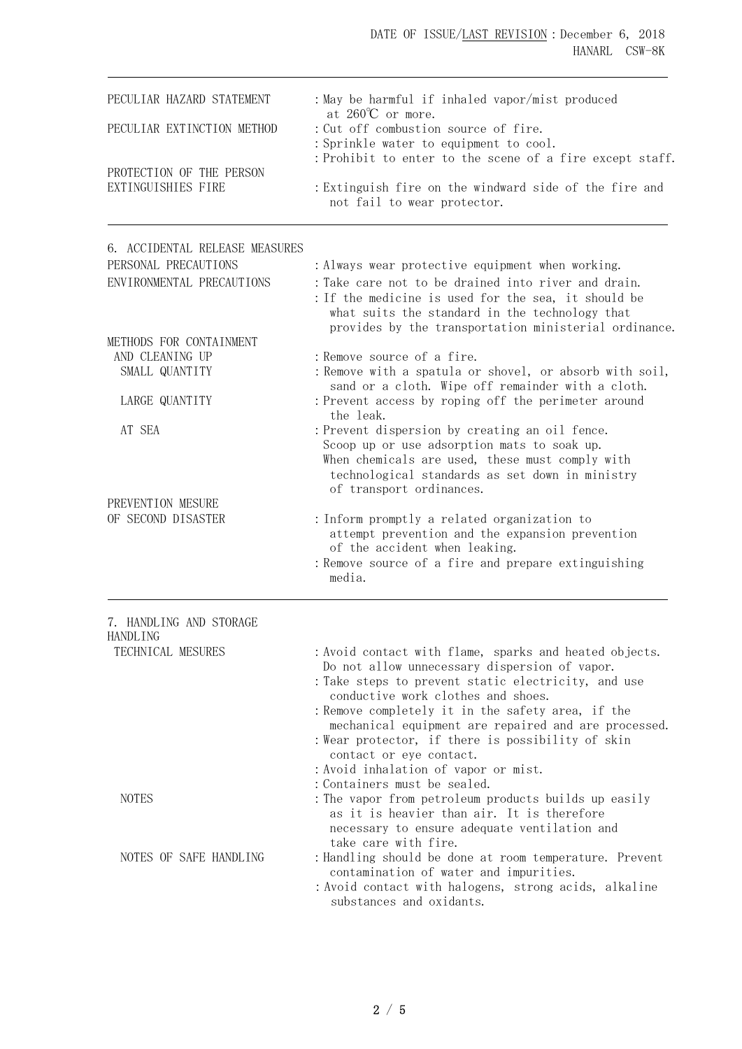## DATE OF ISSUE/LAST REVISION: December 6, 2018 HANARL CSW-8K

| PECULIAR HAZARD STATEMENT  | : May be harmful if inhaled vapor/mist produced                                                    |
|----------------------------|----------------------------------------------------------------------------------------------------|
| PECULIAR EXTINCTION METHOD | at $260^{\circ}$ c or more.<br>: Cut off combustion source of fire.                                |
|                            | : Sprinkle water to equipment to cool.<br>: Prohibit to enter to the scene of a fire except staff. |
| PROTECTION OF THE PERSON   |                                                                                                    |
| EXTINGUISHIES FIRE         | : Extinguish fire on the windward side of the fire and<br>not fail to wear protector.              |

| 6. ACCIDENTAL RELEASE MEASURES                                  |                                                                                                                                                                                                                                                                                                                                                                |  |  |
|-----------------------------------------------------------------|----------------------------------------------------------------------------------------------------------------------------------------------------------------------------------------------------------------------------------------------------------------------------------------------------------------------------------------------------------------|--|--|
| PERSONAL PRECAUTIONS                                            | : Always wear protective equipment when working.                                                                                                                                                                                                                                                                                                               |  |  |
| ENVIRONMENTAL PRECAUTIONS                                       | : Take care not to be drained into river and drain.<br>: If the medicine is used for the sea, it should be<br>what suits the standard in the technology that<br>provides by the transportation ministerial ordinance.                                                                                                                                          |  |  |
| METHODS FOR CONTAINMENT                                         |                                                                                                                                                                                                                                                                                                                                                                |  |  |
| AND CLEANING UP                                                 | : Remove source of a fire.                                                                                                                                                                                                                                                                                                                                     |  |  |
| SMALL QUANTITY                                                  | : Remove with a spatula or shovel, or absorb with soil,<br>sand or a cloth. Wipe off remainder with a cloth.                                                                                                                                                                                                                                                   |  |  |
| LARGE QUANTITY                                                  | : Prevent access by roping off the perimeter around<br>the leak.                                                                                                                                                                                                                                                                                               |  |  |
| AT SEA                                                          | : Prevent dispersion by creating an oil fence.<br>Scoop up or use adsorption mats to soak up.<br>When chemicals are used, these must comply with<br>technological standards as set down in ministry<br>of transport ordinances.                                                                                                                                |  |  |
| PREVENTION MESURE                                               |                                                                                                                                                                                                                                                                                                                                                                |  |  |
| OF SECOND DISASTER                                              | : Inform promptly a related organization to<br>attempt prevention and the expansion prevention<br>of the accident when leaking.<br>: Remove source of a fire and prepare extinguishing<br>media.                                                                                                                                                               |  |  |
| 7. HANDLING AND STORAGE<br><b>HANDLING</b><br>TECHNICAL MESURES | : Avoid contact with flame, sparks and heated objects.<br>Do not allow unnecessary dispersion of vapor.                                                                                                                                                                                                                                                        |  |  |
|                                                                 | : Take steps to prevent static electricity, and use<br>conductive work clothes and shoes.<br>: Remove completely it in the safety area, if the<br>mechanical equipment are repaired and are processed.<br>: Wear protector, if there is possibility of skin<br>contact or eye contact.<br>: Avoid inhalation of vapor or mist.<br>: Containers must be sealed. |  |  |
| <b>NOTES</b>                                                    | : The vapor from petroleum products builds up easily<br>as it is heavier than air. It is therefore<br>necessary to ensure adequate ventilation and<br>take care with fire.                                                                                                                                                                                     |  |  |
| NOTES OF SAFE HANDLING                                          | : Handling should be done at room temperature. Prevent<br>contamination of water and impurities.<br>: Avoid contact with halogens, strong acids, alkaline<br>substances and oxidants.                                                                                                                                                                          |  |  |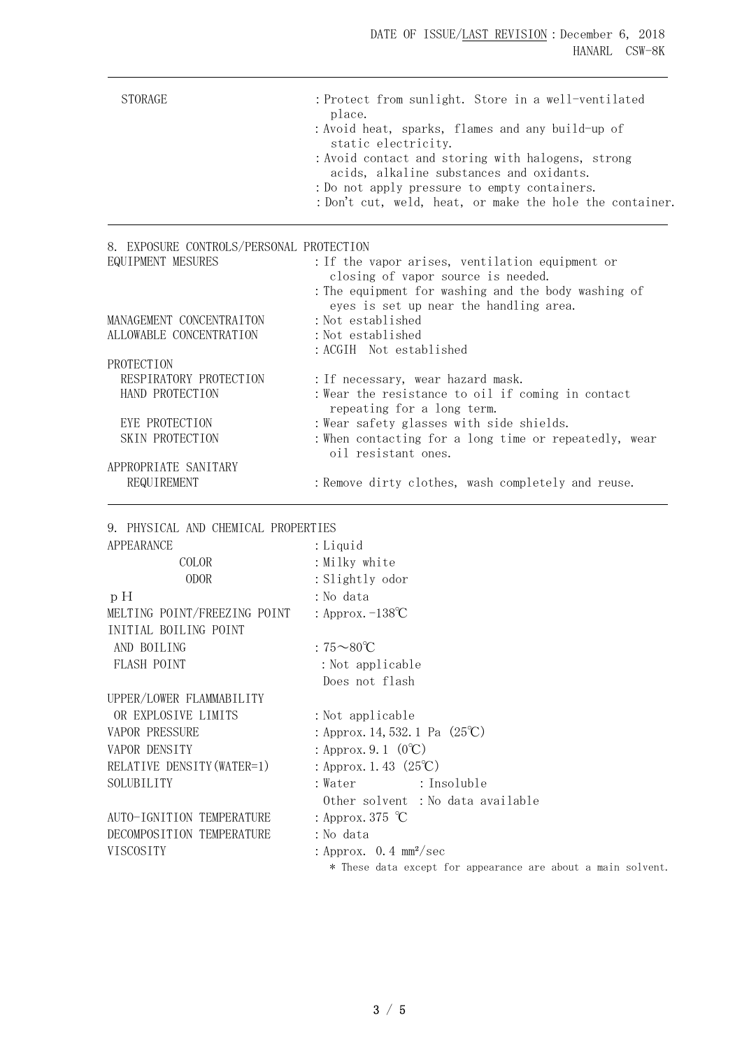| <b>STORAGE</b>                           | : Protect from sunlight. Store in a well-ventilated<br>place.<br>: Avoid heat, sparks, flames and any build-up of<br>static electricity.<br>: Avoid contact and storing with halogens, strong<br>acids, alkaline substances and oxidants.<br>: Do not apply pressure to empty containers.<br>: Don't cut, weld, heat, or make the hole the container. |
|------------------------------------------|-------------------------------------------------------------------------------------------------------------------------------------------------------------------------------------------------------------------------------------------------------------------------------------------------------------------------------------------------------|
| 8. EXPOSURE CONTROLS/PERSONAL PROTECTION |                                                                                                                                                                                                                                                                                                                                                       |
| EQUIPMENT MESURES                        | : If the vapor arises, ventilation equipment or<br>closing of vapor source is needed.<br>: The equipment for washing and the body washing of<br>eyes is set up near the handling area.                                                                                                                                                                |
| MANAGEMENT CONCENTRAITON                 | : Not established                                                                                                                                                                                                                                                                                                                                     |
| ALLOWABLE CONCENTRATION                  | : Not established                                                                                                                                                                                                                                                                                                                                     |
|                                          | : ACGIH Not established                                                                                                                                                                                                                                                                                                                               |
| PROTECTION                               |                                                                                                                                                                                                                                                                                                                                                       |
| RESPIRATORY PROTECTION                   | : If necessary, wear hazard mask.                                                                                                                                                                                                                                                                                                                     |
| HAND PROTECTION                          | : Wear the resistance to oil if coming in contact<br>repeating for a long term.                                                                                                                                                                                                                                                                       |
| EYE PROTECTION                           | : Wear safety glasses with side shields.                                                                                                                                                                                                                                                                                                              |
| SKIN PROTECTION                          | : When contacting for a long time or repeatedly, wear<br>oil resistant ones.                                                                                                                                                                                                                                                                          |
| APPROPRIATE SANITARY                     |                                                                                                                                                                                                                                                                                                                                                       |
| REQUIREMENT                              | : Remove dirty clothes, wash completely and reuse.                                                                                                                                                                                                                                                                                                    |
|                                          |                                                                                                                                                                                                                                                                                                                                                       |

9. PHYSICAL AND CHEMICAL PROPERTIES

| APPEARANCE                   | : Liquid                                                     |  |
|------------------------------|--------------------------------------------------------------|--|
| COLOR                        | : Milky white                                                |  |
| <b>ODOR</b>                  | : Slightly odor                                              |  |
| pH                           | :No data                                                     |  |
| MELTING POINT/FREEZING POINT | : Approx. $-138^{\circ}C$                                    |  |
| INITIAL BOILING POINT        |                                                              |  |
| AND BOILING                  | : $75\text{~}80^{\circ}\text{C}$                             |  |
| FLASH POINT                  | : Not applicable                                             |  |
|                              | Does not flash                                               |  |
| UPPER/LOWER FLAMMABILITY     |                                                              |  |
| OR EXPLOSIVE LIMITS          | : Not applicable                                             |  |
| <b>VAPOR PRESSURE</b>        | : Approx. 14, 532. 1 Pa $(25^{\circ}\text{C})$               |  |
| VAPOR DENSITY                | : Approx. 9. 1 $(0^{\circ}C)$                                |  |
| RELATIVE DENSITY (WATER=1)   | : Approx. 1. 43 $(25^{\circ}\text{C})$                       |  |
| SOLUBILITY                   | : Insoluble<br>:Water                                        |  |
|                              | Other solvent : No data available                            |  |
| AUTO-IGNITION TEMPERATURE    | : Approx. 375 $\degree$ C                                    |  |
| DECOMPOSITION TEMPERATURE    | :No data                                                     |  |
| VISCOSITY                    | : Approx. $0.4 \text{ mm}^2/\text{sec}$                      |  |
|                              | * These data except for appearance are about a main solvent. |  |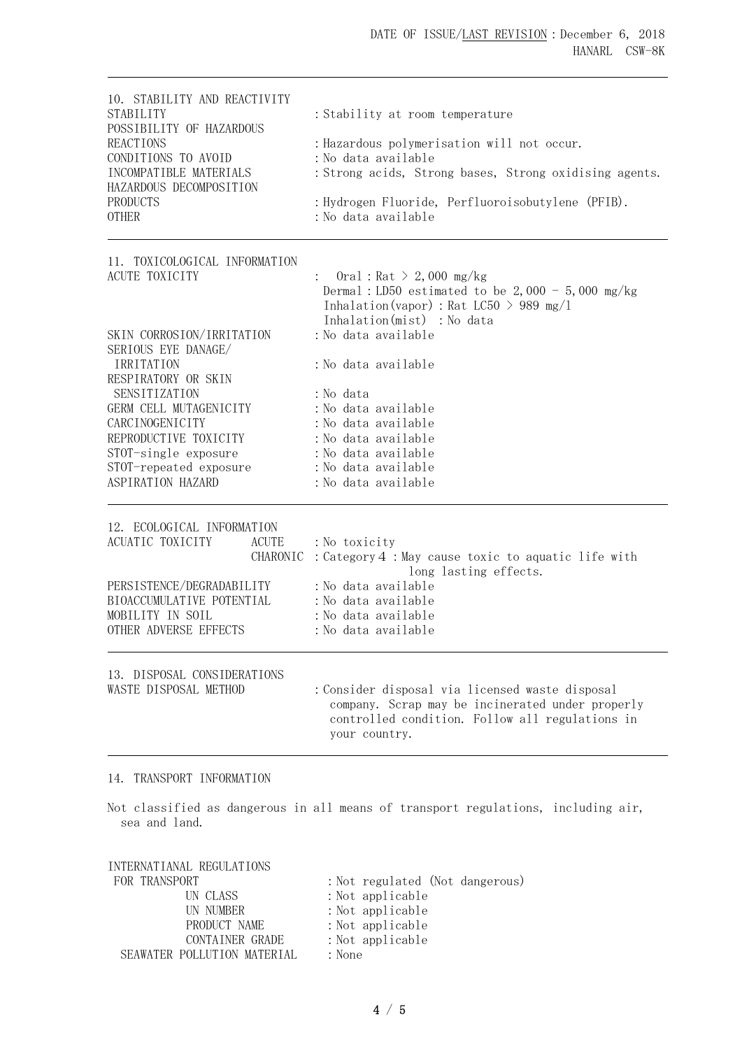| 10. STABILITY AND REACTIVITY<br><b>STABILITY</b><br>POSSIBILITY OF HAZARDOUS<br><b>REACTIONS</b><br>CONDITIONS TO AVOID<br>INCOMPATIBLE MATERIALS<br>HAZARDOUS DECOMPOSITION<br>PRODUCTS<br><b>OTHER</b> | : Stability at room temperature<br>: Hazardous polymerisation will not occur.<br>: No data available<br>: Strong acids, Strong bases, Strong oxidising agents.<br>: Hydrogen Fluoride, Perfluoroisobutylene (PFIB).<br>:No data available |
|----------------------------------------------------------------------------------------------------------------------------------------------------------------------------------------------------------|-------------------------------------------------------------------------------------------------------------------------------------------------------------------------------------------------------------------------------------------|
| 11. TOXICOLOGICAL INFORMATION                                                                                                                                                                            |                                                                                                                                                                                                                                           |
| <b>ACUTE TOXICITY</b>                                                                                                                                                                                    | Oral: $\text{Rat} > 2,000 \text{ mg/kg}$<br>Dermal: LD50 estimated to be $2,000 - 5,000$ mg/kg<br>Inhalation (vapor) : Rat LC50 > 989 mg/l<br>Inhalation(mist) : No data                                                                  |
| SKIN CORROSION/IRRITATION                                                                                                                                                                                | : No data available                                                                                                                                                                                                                       |
| SERIOUS EYE DANAGE/<br>IRRITATION<br>RESPIRATORY OR SKIN                                                                                                                                                 | : No data available                                                                                                                                                                                                                       |
| SENSITIZATION                                                                                                                                                                                            | : No data                                                                                                                                                                                                                                 |
| GERM CELL MUTAGENICITY                                                                                                                                                                                   | : No data available                                                                                                                                                                                                                       |
| CARCINOGENICITY                                                                                                                                                                                          | : No data available                                                                                                                                                                                                                       |
| REPRODUCTIVE TOXICITY                                                                                                                                                                                    | : No data available                                                                                                                                                                                                                       |
| STOT-single exposure                                                                                                                                                                                     | : No data available                                                                                                                                                                                                                       |
| STOT-repeated exposure<br>ASPIRATION HAZARD                                                                                                                                                              | : No data available<br>: No data available                                                                                                                                                                                                |
| 12. ECOLOGICAL INFORMATION                                                                                                                                                                               |                                                                                                                                                                                                                                           |
| ACUATIC TOXICITY<br><b>ACUTE</b>                                                                                                                                                                         | : No toxicity                                                                                                                                                                                                                             |
| CHARONIC                                                                                                                                                                                                 | : Category 4 : May cause toxic to aquatic life with<br>long lasting effects.                                                                                                                                                              |
| PERSISTENCE/DEGRADABILITY                                                                                                                                                                                | : No data available                                                                                                                                                                                                                       |
| BIOACCUMULATIVE POTENTIAL                                                                                                                                                                                | : No data available                                                                                                                                                                                                                       |
| MOBILITY IN SOIL                                                                                                                                                                                         | : No data available                                                                                                                                                                                                                       |
| OTHER ADVERSE EFFECTS                                                                                                                                                                                    | : No data available                                                                                                                                                                                                                       |
| 13. DISPOSAL CONSIDERATIONS                                                                                                                                                                              |                                                                                                                                                                                                                                           |
| WASTE DISPOSAL METHOD                                                                                                                                                                                    | : Consider disposal via licensed waste disposal<br>company. Scrap may be incinerated under properly<br>controlled condition. Follow all regulations in<br>your country.                                                                   |
| 14. TRANSPORT INFORMATION                                                                                                                                                                                |                                                                                                                                                                                                                                           |

Not classified as dangerous in all means of transport regulations, including air, sea and land.

| INTERNATIANAL REGULATIONS   |                                 |
|-----------------------------|---------------------------------|
| FOR TRANSPORT               | : Not regulated (Not dangerous) |
| UN CLASS                    | : Not applicable                |
| UN NUMBER                   | $:$ Not applicable              |
| PRODUCT NAME                | $:$ Not applicable              |
| CONTAINER GRADE             | : Not applicable                |
| SEAWATER POLLUTION MATERIAL | : None                          |